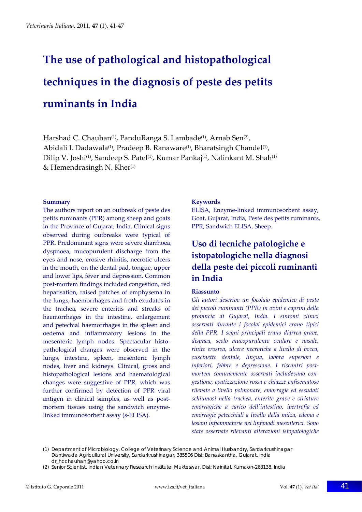# **The use of pathological and histopathological techniques in the diagnosis of peste des petits ruminants in India**

Harshad C. Chauhan<sup>(1)</sup>, PanduRanga S. Lambade<sup>(1)</sup>, Arnab Sen<sup>(2)</sup>, Abidali I. Dadawala<sup>(1)</sup>, Pradeep B. Ranaware<sup>(1)</sup>, Bharatsingh Chandel<sup>(1)</sup>, Dilip V. Joshi<sup>(1)</sup>, Sandeep S. Patel<sup>(1)</sup>, Kumar Pankaj<sup>(1)</sup>, Nalinkant M. Shah<sup>(1)</sup> & Hemendrasingh N. Kher $(1)$ 

### **Summary**

The authors report on an outbreak of peste des petits ruminants (PPR) among sheep and goats in the Province of Gujarat, India. Clinical signs observed during outbreaks were typical of PPR. Predominant signs were severe diarrhoea, dyspnoea, mucopurulent discharge from the eyes and nose, erosive rhinitis, necrotic ulcers in the mouth, on the dental pad, tongue, upper and lower lips, fever and depression. Common post‐mortem findings included congestion, red hepatisation, raised patches of emphysema in the lungs, haemorrhages and froth exudates in the trachea, severe enteritis and streaks of haemorrhages in the intestine, enlargement and petechial haemorrhages in the spleen and oedema and inflammatory lesions in the mesenteric lymph nodes. Spectacular histopathological changes were observed in the lungs, intestine, spleen, mesenteric lymph nodes, liver and kidneys. Clinical, gross and histopathological lesions and haematological changes were suggestive of PPR, which was further confirmed by detection of PPR viral antigen in clinical samples, as well as postmortem tissues using the sandwich enzymelinked immunosorbent assay (s‐ELISA).

## **Keywords**

ELISA, Enzyme‐linked immunosorbent assay, Goat, Gujarat, India, Peste des petits ruminants, PPR, Sandwich ELISA, Sheep.

# **Uso di tecniche patologiche e istopatologiche nella diagnosi della peste dei piccoli ruminanti in India**

### **Riassunto**

*Gli autori descrivo un focolaio epidemico di peste dei piccoli ruminanti (PPR) in ovini e caprini della provincia di Gujarat, India. I sintomi clinici osservati durante i focolai epidemici erano tipici della PPR. I segni principali erano diarrea grave, dispnea, scolo mucopurulento oculare e nasale, rinite erosiva, ulcere necrotiche a livello di bocca, cuscinetto dentale, lingua, labbra superiori e inferiori, febbre e depressione. I riscontri post‐ mortem comunemente osservati includevano con‐ gestione, epatizzazione rossa e chiazze enfisematose rilevate a livello polmonare, emorragie ed essudati schiumosi nella trachea, enterite grave e striature emorragiche a carico dellʹintestino, ipertrofia ed emorragie petecchiali a livello della milza, edema e lesioni infiammatorie nei linfonodi mesenterici. Sono state osservate rilevanti alterazioni istopatologiche*

(1) Department of Microbiology, College of Veterinary Science and Animal Husbandry, Sardarkrushinagar Dantiwada Agricultural University, Sardarkrushinagar, 385506 Dist: Banaskantha, Gujarat, India dr\_hcchauhan@yahoo.co.in

<sup>(2)</sup> Senior Scientist, Indian Veterinary Research Institute, Mukteswar, Dist: Nainital, Kumaon-263138, India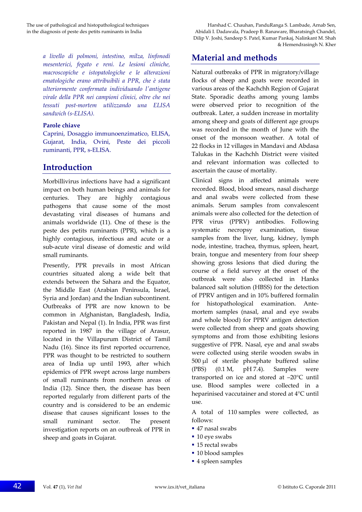*a livello di polmoni, intestino, milza, linfonodi mesenterici, fegato e reni. Le lesioni cliniche, macroscopiche e istopatologiche e le alterazioni ematologiche erano attribuibili a PPR, che è stata ulteriormente confermata individuando lʹantigene virale della PPR nei campioni clinici, oltre che nei tessuti post‐mortem utilizzando una ELISA sandwich (s‐ELISA).*

### **Parole chiave**

Caprini, Dosaggio immunoenzimatico, ELISA, Gujarat, India, Ovini, Peste dei piccoli ruminanti, PPR, s‐ELISA.

# **Introduction**

Morbillivirus infections have had a significant impact on both human beings and animals for centuries. They are highly contagious pathogens that cause some of the most devastating viral diseases of humans and animals worldwide (11). One of these is the peste des petits ruminants (PPR), which is a highly contagious, infectious and acute or a sub‐acute viral disease of domestic and wild small ruminants.

Presently, PPR prevails in most African countries situated along a wide belt that extends between the Sahara and the Equator, the Middle East (Arabian Peninsula, Israel, Syria and Jordan) and the Indian subcontinent. Outbreaks of PPR are now known to be common in Afghanistan, Bangladesh, India, Pakistan and Nepal (1). In India, PPR was first reported in 1987 in the village of Arasur, located in the Villapurum District of Tamil Nadu (16). Since its first reported occurrence, PPR was thought to be restricted to southern area of India up until 1993, after which epidemics of PPR swept across large numbers of small ruminants from northern areas of India (12). Since then, the disease has been reported regularly from different parts of the country and is considered to be an endemic disease that causes significant losses to the small ruminant sector. The present investigation reports on an outbreak of PPR in sheep and goats in Gujarat.

The use of pathological and histopathological techniques Harshad C. Chauhan, PanduRanga S. Lambade, Arnab Sen, in the diagnosis of peste des petits ruminants in India Abidali I. Dadawala, Pradeep B. Ranaware, Bharatsingh Chandel, Dilip V. Joshi, Sandeep S. Patel, Kumar Pankaj, Nalinkant M. Shah & Hemendrasingh N. Kher

# **Material and methods**

Natural outbreaks of PPR in migratory/village flocks of sheep and goats were recorded in various areas of the Kachchh Region of Gujarat State. Sporadic deaths among young lambs were observed prior to recognition of the outbreak. Later, a sudden increase in mortality among sheep and goats of different age groups was recorded in the month of June with the onset of the monsoon weather. A total of 22 flocks in 12 villages in Mandavi and Abdasa Talukas in the Kachchh District were visited and relevant information was collected to ascertain the cause of mortality.

Clinical signs in affected animals were recorded. Blood, blood smears, nasal discharge and anal swabs were collected from these animals. Serum samples from convalescent animals were also collected for the detection of PPR virus (PPRV) antibodies. Following systematic necropsy examination, tissue samples from the liver, lung, kidney, lymph node, intestine, trachea, thymus, spleen, heart, brain, tongue and mesentery from four sheep showing gross lesions that died during the course of a field survey at the onset of the outbreak were also collected in Hanks balanced salt solution (HBSS) for the detection of PPRV antigen and in 10% buffered formalin for histopathological examination. Antemortem samples (nasal, anal and eye swabs and whole blood) for PPRV antigen detection were collected from sheep and goats showing symptoms and from those exhibiting lesions suggestive of PPR. Nasal, eye and anal swabs were collected using sterile wooden swabs in 500 μl of sterile phosphate buffered saline (PBS) (0.1 M, pH 7.4). Samples were transported on ice and stored at –20°C until use. Blood samples were collected in a heparinised vaccutainer and stored at 4°C until use.

A total of 110 samples were collected, as follows:

- 47 nasal swabs
- 10 eye swabs
- 15 rectal swabs
- 10 blood samples
- 4 spleen samples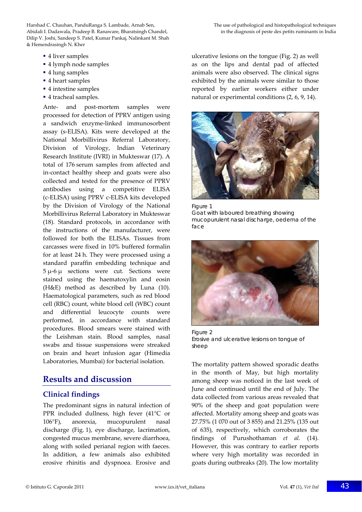Harshad C. Chauhan, PanduRanga S. Lambade, Arnab Sen, The use of pathological and histopathological techniques Abidali I. Dadawala, Pradeep B. Ranaware, Bharatsingh Chandel, in the diagnosis of peste des petits ruminants in India Dilip V. Joshi, Sandeep S. Patel, Kumar Pankaj, Nalinkant M. Shah & Hemendrasingh N. Kher

- 4 liver samples
- 4 lymph node samples
- 4 lung samples
- 4 heart samples
- 4 intestine samples
- 4 tracheal samples.

Ante- and post-mortem samples were processed for detection of PPRV antigen using a sandwich enzyme‐linked immunosorbent assay (s‐ELISA). Kits were developed at the National Morbillivirus Referral Laboratory, Division of Virology, Indian Veterinary Research Institute (IVRI) in Mukteswar (17). A total of 176 serum samples from affected and in‐contact healthy sheep and goats were also collected and tested for the presence of PPRV antibodies using a competitive ELISA (c‐ELISA) using PPRV c‐ELISA kits developed by the Division of Virology of the National Morbillivirus Referral Laboratory in Mukteswar (18). Standard protocols, in accordance with the instructions of the manufacturer, were followed for both the ELISAs. Tissues from carcasses were fixed in 10% buffered formalin for at least 24 h. They were processed using a standard paraffin embedding technique and 5 μ‐6 μ sections were cut. Sections were stained using the haematoxylin and eosin (H&E) method as described by Luna (10). Haematological parameters, such as red blood cell (RBC) count, white blood cell (WBC) count and differential leucocyte counts were performed, in accordance with standard procedures. Blood smears were stained with the Leishman stain. Blood samples, nasal swabs and tissue suspensions were streaked on brain and heart infusion agar (Himedia Laboratories, Mumbai) for bacterial isolation.

# **Results and discussion**

## **Clinical findings**

The predominant signs in natural infection of PPR included dullness, high fever (41°C or 106°F), anorexia, mucopurulent nasal discharge (Fig. 1), eye discharge, lacrimation, congested mucus membrane, severe diarrhoea, along with soiled perianal region with faeces. In addition, a few animals also exhibited erosive rhinitis and dyspnoea. Erosive and

ulcerative lesions on the tongue (Fig. 2) as well as on the lips and dental pad of affected animals were also observed. The clinical signs exhibited by the animals were similar to those reported by earlier workers either under natural or experimental conditions (2, 6, 9, 14).







Figure 2 Erosive and ulcerative lesions on tongue of sheep

The mortality pattern showed sporadic deaths in the month of May, but high mortality among sheep was noticed in the last week of June and continued until the end of July. The data collected from various areas revealed that 90% of the sheep and goat population were affected. Mortality among sheep and goats was 27.75% (1 070 out of 3 855) and 21.25% (135 out of 635), respectively, which corroborates the findings of Purushothaman *et al.* (14). However, this was contrary to earlier reports where very high mortality was recorded in goats during outbreaks (20). The low mortality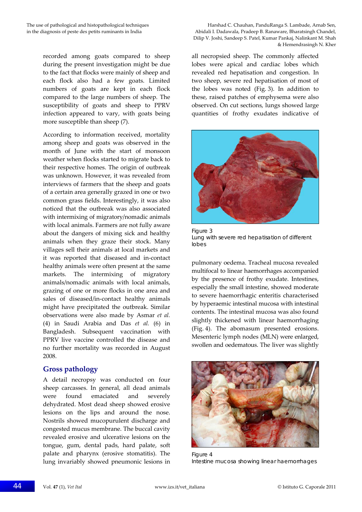recorded among goats compared to sheep during the present investigation might be due to the fact that flocks were mainly of sheep and each flock also had a few goats. Limited numbers of goats are kept in each flock compared to the large numbers of sheep. The susceptibility of goats and sheep to PPRV infection appeared to vary, with goats being more susceptible than sheep (7).

According to information received, mortality among sheep and goats was observed in the month of June with the start of monsoon weather when flocks started to migrate back to their respective homes. The origin of outbreak was unknown. However, it was revealed from interviews of farmers that the sheep and goats of a certain area generally grazed in one or two common grass fields. Interestingly, it was also noticed that the outbreak was also associated with intermixing of migratory/nomadic animals with local animals. Farmers are not fully aware about the dangers of mixing sick and healthy animals when they graze their stock. Many villages sell their animals at local markets and it was reported that diseased and in‐contact healthy animals were often present at the same markets. The intermixing of migratory animals/nomadic animals with local animals, grazing of one or more flocks in one area and sales of diseased/in‐contact healthy animals might have precipitated the outbreak. Similar observations were also made by Asmar *et al.* (4) in Saudi Arabia and Das *et al.* (6) in Bangladesh. Subsequent vaccination with PPRV live vaccine controlled the disease and no further mortality was recorded in August 2008.

## **Gross pathology**

A detail necropsy was conducted on four sheep carcasses. In general, all dead animals were found emaciated and severely dehydrated. Most dead sheep showed erosive lesions on the lips and around the nose. Nostrils showed mucopurulent discharge and congested mucus membrane. The buccal cavity revealed erosive and ulcerative lesions on the tongue, gum, dental pads, hard palate, soft palate and pharynx (erosive stomatitis). The lung invariably showed pneumonic lesions in

The use of pathological and histopathological techniques Harshad C. Chauhan, PanduRanga S. Lambade, Arnab Sen, in the diagnosis of peste des petits ruminants in India Abidali I. Dadawala, Pradeep B. Ranaware, Bharatsingh Chandel, Dilip V. Joshi, Sandeep S. Patel, Kumar Pankaj, Nalinkant M. Shah & Hemendrasingh N. Kher

> all necropsied sheep. The commonly affected lobes were apical and cardiac lobes which revealed red hepatisation and congestion. In two sheep, severe red hepatisation of most of the lobes was noted (Fig. 3). In addition to these, raised patches of emphysema were also observed. On cut sections, lungs showed large quantities of frothy exudates indicative of



Figure 3 Lung with severe red hepatisation of different lobes

pulmonary oedema. Tracheal mucosa revealed multifocal to linear haemorrhages accompanied by the presence of frothy exudate. Intestines, especially the small intestine, showed moderate to severe haemorrhagic enteritis characterised by hyperaemic intestinal mucosa with intestinal contents. The intestinal mucosa was also found slightly thickened with linear haemorrhaging (Fig. 4). The abomasum presented erosions. Mesenteric lymph nodes (MLN) were enlarged, swollen and oedematous. The liver was slightly



Figure 4 Intestine mucosa showing linear haemorrhages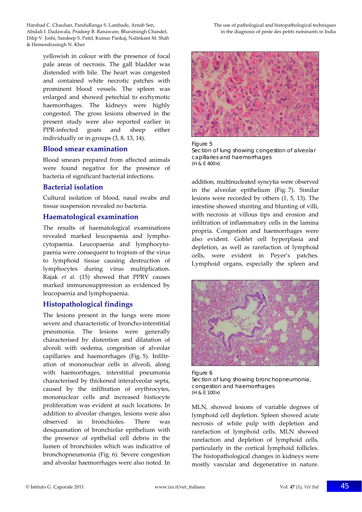Harshad C. Chauhan, PanduRanga S. Lambade, Arnab Sen, The use of pathological and histopathological techniques Abidali I. Dadawala, Pradeep B. Ranaware, Bharatsingh Chandel, in the diagnosis of peste des petits ruminants in India Dilip V. Joshi, Sandeep S. Patel, Kumar Pankaj, Nalinkant M. Shah & Hemendrasingh N. Kher

yellowish in colour with the presence of focal pale areas of necrosis. The gall bladder was distended with bile. The heart was congested and contained white necrotic patches with prominent blood vessels. The spleen was enlarged and showed petechial to ecchymotic haemorrhages. The kidneys were highly congested. The gross lesions observed in the present study were also reported earlier in PPR‐infected goats and sheep either individually or in groups (3, 8, 13, 14).

## **Blood smear examination**

Blood smears prepared from affected animals were found negative for the presence of bacteria of significant bacterial infections.

## **Bacterial isolation**

Cultural isolation of blood, nasal swabs and tissue suspension revealed no bacteria.

## **Haematological examination**

The results of haematological examinations revealed marked leucopaenia and lympho‐ cytopaenia. Leucopaenia and lymphocyto‐ paenia were consequent to tropism of the virus to lymphoid tissue causing destruction of lymphocytes during virus multiplication. Rajak *et al.* (15) showed that PPRV causes marked immunosuppression as evidenced by leucopaenia and lymphopaenia.

## **Histopathological findings**

The lesions present in the lungs were more severe and characteristic of broncho‐interstitial pneumonia. The lesions were generally characterised by distention and dilatation of alveoli with oedema, congestion of alveolar capillaries and haemorrhages (Fig. 5). Infiltr‐ ation of mononuclear cells in alveoli, along with haemorrhages, interstitial pneumonia characterised by thickened interalveolar septa, caused by the infiltration of erythrocytes, mononuclear cells and increased histiocyte proliferation was evident at such locations. In addition to alveolar changes, lesions were also observed in bronchioles. There was desquamation of bronchiolar epithelium with the presence of epithelial cell debris in the lumen of bronchioles which was indicative of bronchopneumonia (Fig. 6). Severe congestion and alveolar haemorrhages were also noted. In



Figure 5 Section of lung showing congestion of alveolar capillaries and haemorrhages (H & E 400×)

addition, multinucleated syncytia were observed in the alveolar epithelium (Fig. 7). Similar lesions were recorded by others (1, 5, 13). The intestine showed stunting and blunting of villi, with necrosis at villous tips and erosion and infiltration of inflammatory cells in the lamina propria. Congestion and haemorrhages were also evident. Goblet cell hyperplasia and depletion, as well as rarefaction of lymphoid cells, were evident in Peyer's patches. Lymphoid organs, especially the spleen and



Figure 6 Section of lung showing bronchopneumonia, congestion and haemorrhages (H & E 100×)

MLN, showed lesions of variable degrees of lymphoid cell depletion. Spleen showed acute necrosis of white pulp with depletion and rarefaction of lymphoid cells. MLN showed rarefaction and depletion of lymphoid cells, particularly in the cortical lymphoid follicles. The histopathological changes in kidneys were mostly vascular and degenerative in nature.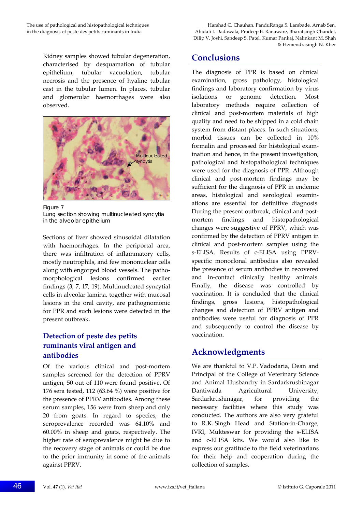Kidney samples showed tubular degeneration, characterised by desquamation of tubular epithelium, tubular vacuolation, tubular necrosis and the presence of hyaline tubular cast in the tubular lumen. In places, tubular and glomerular haemorrhages were also observed.



Figure 7 Lung section showing multinucleated syncytia in the alveolar epithelium

Sections of liver showed sinusoidal dilatation with haemorrhages. In the periportal area, there was infiltration of inflammatory cells, mostly neutrophils, and few mononuclear cells along with engorged blood vessels. The pathomorphological lesions confirmed earlier findings (3, 7, 17, 19). Multinucleated syncytial cells in alveolar lamina, together with mucosal lesions in the oral cavity, are pathognomonic for PPR and such lesions were detected in the present outbreak.

# **Detection of peste des petits ruminants viral antigen and antibodies**

Of the various clinical and post-mortem samples screened for the detection of PPRV antigen, 50 out of 110 were found positive. Of 176 sera tested, 112 (63.64 %) were positive for the presence of PPRV antibodies. Among these serum samples, 156 were from sheep and only 20 from goats. In regard to species, the seroprevalence recorded was 64.10% and 60.00% in sheep and goats, respectively. The higher rate of seroprevalence might be due to the recovery stage of animals or could be due to the prior immunity in some of the animals against PPRV.

The use of pathological and histopathological techniques Harshad C. Chauhan, PanduRanga S. Lambade, Arnab Sen, in the diagnosis of peste des petits ruminants in India Abidali I. Dadawala, Pradeep B. Ranaware, Bharatsingh Chandel, Dilip V. Joshi, Sandeep S. Patel, Kumar Pankaj, Nalinkant M. Shah & Hemendrasingh N. Kher

# **Conclusions**

The diagnosis of PPR is based on clinical examination, gross pathology, histological findings and laboratory confirmation by virus isolations or genome detection. Most laboratory methods require collection of clinical and post‐mortem materials of high quality and need to be shipped in a cold chain system from distant places. In such situations, morbid tissues can be collected in 10% formalin and processed for histological exam‐ ination and hence, in the present investigation, pathological and histopathological techniques were used for the diagnosis of PPR. Although clinical and post‐mortem findings may be sufficient for the diagnosis of PPR in endemic areas, histological and serological examin‐ ations are essential for definitive diagnosis. During the present outbreak, clinical and postmortem findings and histopathological changes were suggestive of PPRV, which was confirmed by the detection of PPRV antigen in clinical and post‐mortem samples using the s‐ELISA. Results of c‐ELISA using PPRV‐ specific monoclonal antibodies also revealed the presence of serum antibodies in recovered and in‐contact clinically healthy animals. Finally, the disease was controlled by vaccination. It is concluded that the clinical findings, gross lesions, histopathological changes and detection of PPRV antigen and antibodies were useful for diagnosis of PPR and subsequently to control the disease by vaccination.

# **Acknowledgments**

We are thankful to V.P. Vadodaria, Dean and Principal of the College of Veterinary Science and Animal Husbandry in Sardarkrushinagar Dantiwada Agricultural University, Sardarkrushinagar, for providing the necessary facilities where this study was conducted. The authors are also very grateful to R.K. Singh Head and Station‐in‐Charge, IVRI, Mukteswar for providing the s‐ELISA and c‐ELISA kits. We would also like to express our gratitude to the field veterinarians for their help and cooperation during the collection of samples.